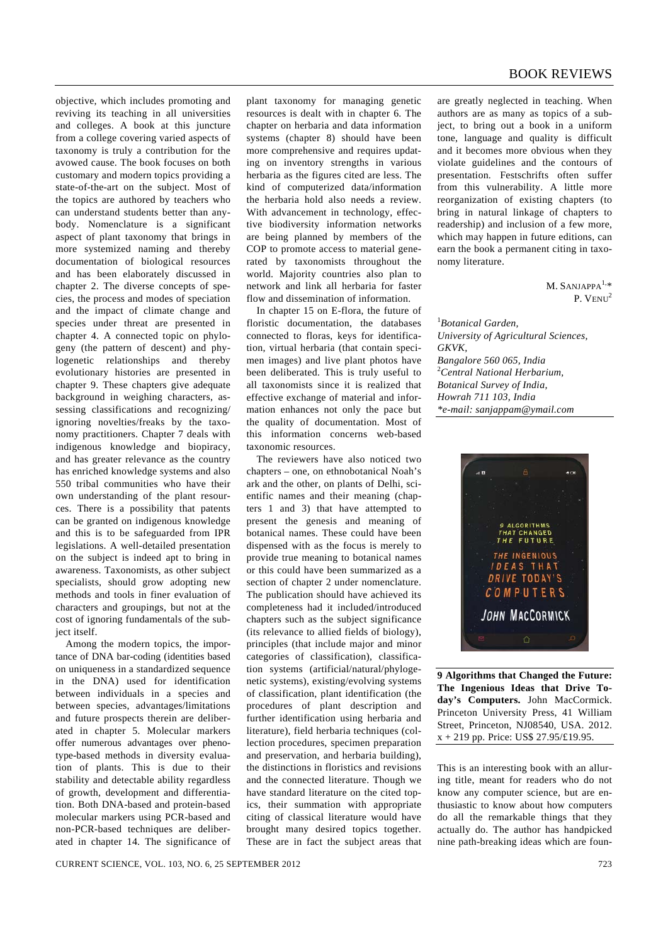## BOOK REVIEWS

objective, which includes promoting and reviving its teaching in all universities and colleges. A book at this juncture from a college covering varied aspects of taxonomy is truly a contribution for the avowed cause. The book focuses on both customary and modern topics providing a state-of-the-art on the subject. Most of the topics are authored by teachers who can understand students better than anybody. Nomenclature is a significant aspect of plant taxonomy that brings in more systemized naming and thereby documentation of biological resources and has been elaborately discussed in chapter 2. The diverse concepts of species, the process and modes of speciation and the impact of climate change and species under threat are presented in chapter 4. A connected topic on phylogeny (the pattern of descent) and phylogenetic relationships and thereby evolutionary histories are presented in chapter 9. These chapters give adequate background in weighing characters, assessing classifications and recognizing/ ignoring novelties/freaks by the taxonomy practitioners. Chapter 7 deals with indigenous knowledge and biopiracy, and has greater relevance as the country has enriched knowledge systems and also 550 tribal communities who have their own understanding of the plant resources. There is a possibility that patents can be granted on indigenous knowledge and this is to be safeguarded from IPR legislations. A well-detailed presentation on the subject is indeed apt to bring in awareness. Taxonomists, as other subject specialists, should grow adopting new methods and tools in finer evaluation of characters and groupings, but not at the cost of ignoring fundamentals of the subject itself.

 Among the modern topics, the importance of DNA bar-coding (identities based on uniqueness in a standardized sequence in the DNA) used for identification between individuals in a species and between species, advantages/limitations and future prospects therein are deliberated in chapter 5. Molecular markers offer numerous advantages over phenotype-based methods in diversity evaluation of plants. This is due to their stability and detectable ability regardless of growth, development and differentiation. Both DNA-based and protein-based molecular markers using PCR-based and non-PCR-based techniques are deliberated in chapter 14. The significance of

plant taxonomy for managing genetic resources is dealt with in chapter 6. The chapter on herbaria and data information systems (chapter 8) should have been more comprehensive and requires updating on inventory strengths in various herbaria as the figures cited are less. The kind of computerized data/information the herbaria hold also needs a review. With advancement in technology, effective biodiversity information networks are being planned by members of the COP to promote access to material generated by taxonomists throughout the world. Majority countries also plan to network and link all herbaria for faster flow and dissemination of information.

 In chapter 15 on E-flora, the future of floristic documentation, the databases connected to floras, keys for identification, virtual herbaria (that contain specimen images) and live plant photos have been deliberated. This is truly useful to all taxonomists since it is realized that effective exchange of material and information enhances not only the pace but the quality of documentation. Most of this information concerns web-based taxonomic resources.

 The reviewers have also noticed two chapters – one, on ethnobotanical Noah's ark and the other, on plants of Delhi, scientific names and their meaning (chapters 1 and 3) that have attempted to present the genesis and meaning of botanical names. These could have been dispensed with as the focus is merely to provide true meaning to botanical names or this could have been summarized as a section of chapter 2 under nomenclature. The publication should have achieved its completeness had it included/introduced chapters such as the subject significance (its relevance to allied fields of biology), principles (that include major and minor categories of classification), classification systems (artificial/natural/phylogenetic systems), existing/evolving systems of classification, plant identification (the procedures of plant description and further identification using herbaria and literature), field herbaria techniques (collection procedures, specimen preparation and preservation, and herbaria building), the distinctions in floristics and revisions and the connected literature. Though we have standard literature on the cited topics, their summation with appropriate citing of classical literature would have brought many desired topics together. These are in fact the subject areas that

are greatly neglected in teaching. When authors are as many as topics of a subject, to bring out a book in a uniform tone, language and quality is difficult and it becomes more obvious when they violate guidelines and the contours of presentation. Festschrifts often suffer from this vulnerability. A little more reorganization of existing chapters (to bring in natural linkage of chapters to readership) and inclusion of a few more, which may happen in future editions, can earn the book a permanent citing in taxonomy literature.

> $M.$  SANJAPPA $^{1,*}$ P. VENU<sup>2</sup>

1 *Botanical Garden, University of Agricultural Sciences, GKVK, Bangalore 560 065, India*  2 *Central National Herbarium, Botanical Survey of India, Howrah 711 103, India \*e-mail: sanjappam@ymail.com* 



**9 Algorithms that Changed the Future: The Ingenious Ideas that Drive Today's Computers.** John MacCormick. Princeton University Press, 41 William Street, Princeton, NJ08540, USA. 2012. x + 219 pp. Price: US\$ 27.95/£19.95.

This is an interesting book with an alluring title, meant for readers who do not know any computer science, but are enthusiastic to know about how computers do all the remarkable things that they actually do. The author has handpicked nine path-breaking ideas which are foun